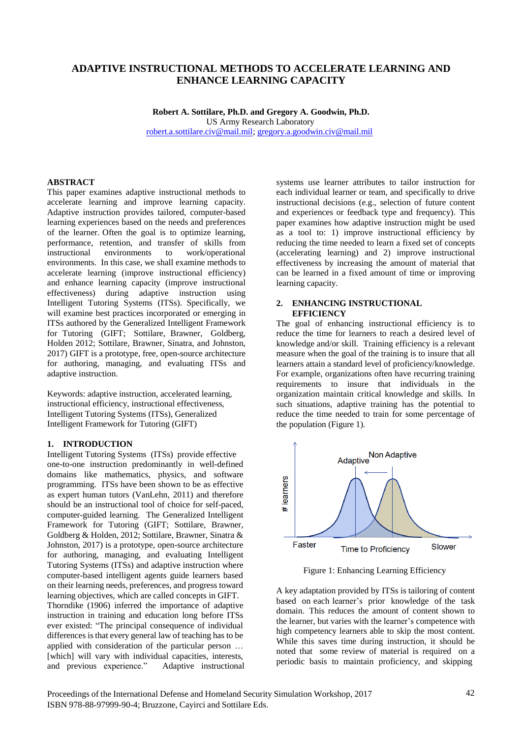# **ADAPTIVE INSTRUCTIONAL METHODS TO ACCELERATE LEARNING AND ENHANCE LEARNING CAPACITY**

**Robert A. Sottilare, Ph.D. and Gregory A. Goodwin, Ph.D.** US Army Research Laboratory [robert.a.sottilare.civ@mail.mil;](mailto:robert.a.sottilare.civ@mail.mil) [gregory.a.goodwin.civ@mail.mil](mailto:gregory.a.goodwin.civ@mail.mil)

#### **ABSTRACT**

This paper examines adaptive instructional methods to accelerate learning and improve learning capacity. Adaptive instruction provides tailored, computer-based learning experiences based on the needs and preferences of the learner. Often the goal is to optimize learning, performance, retention, and transfer of skills from instructional environments to work/operational environments. In this case, we shall examine methods to accelerate learning (improve instructional efficiency) and enhance learning capacity (improve instructional effectiveness) during adaptive instruction using Intelligent Tutoring Systems (ITSs). Specifically, we will examine best practices incorporated or emerging in ITSs authored by the Generalized Intelligent Framework for Tutoring (GIFT; Sottilare, Brawner, Goldberg, Holden 2012; Sottilare, Brawner, Sinatra, and Johnston, 2017) GIFT is a prototype, free, open-source architecture for authoring, managing, and evaluating ITSs and adaptive instruction.

Keywords: adaptive instruction, accelerated learning, instructional efficiency, instructional effectiveness, Intelligent Tutoring Systems (ITSs), Generalized Intelligent Framework for Tutoring (GIFT)

#### **1. INTRODUCTION**

Intelligent Tutoring Systems (ITSs) provide effective one-to-one instruction predominantly in well-defined domains like mathematics, physics, and software programming. ITSs have been shown to be as effective as expert human tutors (VanLehn, 2011) and therefore should be an instructional tool of choice for self-paced, computer-guided learning. The Generalized Intelligent Framework for Tutoring (GIFT: Sottilare, Brawner, Goldberg & Holden, 2012; Sottilare, Brawner, Sinatra & Johnston, 2017) is a prototype, open-source architecture for authoring, managing, and evaluating Intelligent Tutoring Systems (ITSs) and adaptive instruction where computer-based intelligent agents guide learners based on their learning needs, preferences, and progress toward learning objectives, which are called concepts in GIFT. Thorndike (1906) inferred the importance of adaptive instruction in training and education long before ITSs ever existed: "The principal consequence of individual differences is that every general law of teaching has to be applied with consideration of the particular person … [which] will vary with individual capacities, interests, and previous experience." Adaptive instructional

systems use learner attributes to tailor instruction for each individual learner or team, and specifically to drive instructional decisions (e.g., selection of future content and experiences or feedback type and frequency). This paper examines how adaptive instruction might be used as a tool to: 1) improve instructional efficiency by reducing the time needed to learn a fixed set of concepts (accelerating learning) and 2) improve instructional effectiveness by increasing the amount of material that can be learned in a fixed amount of time or improving learning capacity.

#### **2. ENHANCING INSTRUCTIONAL EFFICIENCY**

The goal of enhancing instructional efficiency is to reduce the time for learners to reach a desired level of knowledge and/or skill. Training efficiency is a relevant measure when the goal of the training is to insure that all learners attain a standard level of proficiency/knowledge. For example, organizations often have recurring training requirements to insure that individuals in the organization maintain critical knowledge and skills. In such situations, adaptive training has the potential to reduce the time needed to train for some percentage of the population (Figure 1).



Figure 1: Enhancing Learning Efficiency

A key adaptation provided by ITSs is tailoring of content based on each learner's prior knowledge of the task domain. This reduces the amount of content shown to the learner, but varies with the learner's competence with high competency learners able to skip the most content. While this saves time during instruction, it should be noted that some review of material is required on a periodic basis to maintain proficiency, and skipping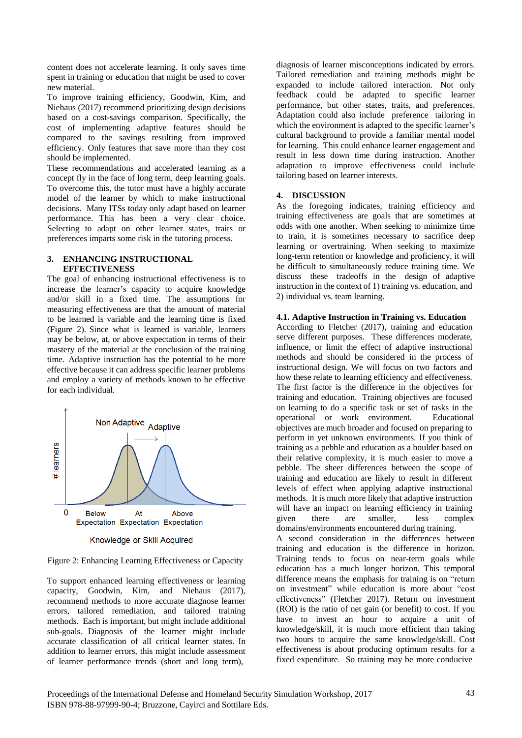content does not accelerate learning. It only saves time spent in training or education that might be used to cover new material.

To improve training efficiency, Goodwin, Kim, and Niehaus (2017) recommend prioritizing design decisions based on a cost-savings comparison. Specifically, the cost of implementing adaptive features should be compared to the savings resulting from improved efficiency. Only features that save more than they cost should be implemented.

These recommendations and accelerated learning as a concept fly in the face of long term, deep learning goals. To overcome this, the tutor must have a highly accurate model of the learner by which to make instructional decisions. Many ITSs today only adapt based on learner performance. This has been a very clear choice. Selecting to adapt on other learner states, traits or preferences imparts some risk in the tutoring process.

## **3. ENHANCING INSTRUCTIONAL EFFECTIVENESS**

The goal of enhancing instructional effectiveness is to increase the learner's capacity to acquire knowledge and/or skill in a fixed time. The assumptions for measuring effectiveness are that the amount of material to be learned is variable and the learning time is fixed (Figure 2). Since what is learned is variable, learners may be below, at, or above expectation in terms of their mastery of the material at the conclusion of the training time. Adaptive instruction has the potential to be more effective because it can address specific learner problems and employ a variety of methods known to be effective for each individual.



Knowledge or Skill Acquired

Figure 2: Enhancing Learning Effectiveness or Capacity

To support enhanced learning effectiveness or learning capacity, Goodwin, Kim, and Niehaus (2017), recommend methods to more accurate diagnose learner errors, tailored remediation, and tailored training methods. Each is important, but might include additional sub-goals. Diagnosis of the learner might include accurate classification of all critical learner states. In addition to learner errors, this might include assessment of learner performance trends (short and long term),

diagnosis of learner misconceptions indicated by errors. Tailored remediation and training methods might be expanded to include tailored interaction. Not only feedback could be adapted to specific learner performance, but other states, traits, and preferences. Adaptation could also include preference tailoring in which the environment is adapted to the specific learner's cultural background to provide a familiar mental model for learning. This could enhance learner engagement and result in less down time during instruction. Another adaptation to improve effectiveness could include tailoring based on learner interests.

# **4. DISCUSSION**

As the foregoing indicates, training efficiency and training effectiveness are goals that are sometimes at odds with one another. When seeking to minimize time to train, it is sometimes necessary to sacrifice deep learning or overtraining. When seeking to maximize long-term retention or knowledge and proficiency, it will be difficult to simultaneously reduce training time. We discuss these tradeoffs in the design of adaptive instruction in the context of 1) training vs. education, and 2) individual vs. team learning.

## **4.1. Adaptive Instruction in Training vs. Education**

According to Fletcher (2017), training and education serve different purposes. These differences moderate, influence, or limit the effect of adaptive instructional methods and should be considered in the process of instructional design. We will focus on two factors and how these relate to learning efficiency and effectiveness. The first factor is the difference in the objectives for training and education. Training objectives are focused on learning to do a specific task or set of tasks in the operational or work environment. Educational objectives are much broader and focused on preparing to perform in yet unknown environments. If you think of training as a pebble and education as a boulder based on their relative complexity, it is much easier to move a pebble. The sheer differences between the scope of training and education are likely to result in different levels of effect when applying adaptive instructional methods. It is much more likely that adaptive instruction will have an impact on learning efficiency in training given there are smaller, less complex domains/environments encountered during training.

A second consideration in the differences between training and education is the difference in horizon. Training tends to focus on near-term goals while education has a much longer horizon. This temporal difference means the emphasis for training is on "return on investment" while education is more about "cost effectiveness" (Fletcher 2017). Return on investment (ROI) is the ratio of net gain (or benefit) to cost. If you have to invest an hour to acquire a unit of knowledge/skill, it is much more efficient than taking two hours to acquire the same knowledge/skill. Cost effectiveness is about producing optimum results for a fixed expenditure. So training may be more conducive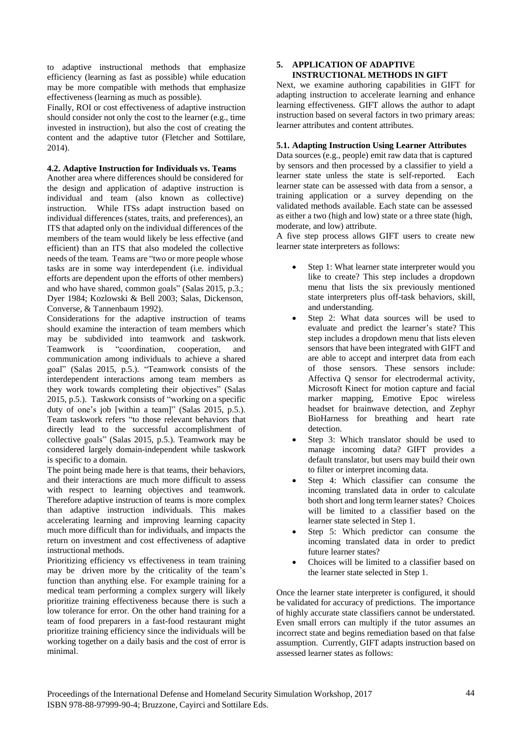to adaptive instructional methods that emphasize efficiency (learning as fast as possible) while education may be more compatible with methods that emphasize effectiveness (learning as much as possible).

Finally, ROI or cost effectiveness of adaptive instruction should consider not only the cost to the learner (e.g., time invested in instruction), but also the cost of creating the content and the adaptive tutor (Fletcher and Sottilare, 2014).

## **4.2. Adaptive Instruction for Individuals vs. Teams**

Another area where differences should be considered for the design and application of adaptive instruction is individual and team (also known as collective) instruction. While ITSs adapt instruction based on individual differences (states, traits, and preferences), an ITS that adapted only on the individual differences of the members of the team would likely be less effective (and efficient) than an ITS that also modeled the collective needs of the team. Teams are "two or more people whose tasks are in some way interdependent (i.e. individual efforts are dependent upon the efforts of other members) and who have shared, common goals" (Salas 2015, p.3.; Dyer 1984; Kozlowski & Bell 2003; Salas, Dickenson, Converse, & Tannenbaum 1992).

Considerations for the adaptive instruction of teams should examine the interaction of team members which may be subdivided into teamwork and taskwork. Teamwork is "coordination, cooperation, and communication among individuals to achieve a shared goal" (Salas 2015, p.5.). "Teamwork consists of the interdependent interactions among team members as they work towards completing their objectives" (Salas 2015, p.5.). Taskwork consists of "working on a specific duty of one's job [within a team]" (Salas 2015, p.5.). Team taskwork refers "to those relevant behaviors that directly lead to the successful accomplishment of collective goals" (Salas 2015, p.5.). Teamwork may be considered largely domain-independent while taskwork is specific to a domain.

The point being made here is that teams, their behaviors, and their interactions are much more difficult to assess with respect to learning objectives and teamwork. Therefore adaptive instruction of teams is more complex than adaptive instruction individuals. This makes accelerating learning and improving learning capacity much more difficult than for individuals, and impacts the return on investment and cost effectiveness of adaptive instructional methods.

Prioritizing efficiency vs effectiveness in team training may be driven more by the criticality of the team's function than anything else. For example training for a medical team performing a complex surgery will likely prioritize training effectiveness because there is such a low tolerance for error. On the other hand training for a team of food preparers in a fast-food restaurant might prioritize training efficiency since the individuals will be working together on a daily basis and the cost of error is minimal.

#### **5. APPLICATION OF ADAPTIVE INSTRUCTIONAL METHODS IN GIFT**

Next, we examine authoring capabilities in GIFT for adapting instruction to accelerate learning and enhance learning effectiveness. GIFT allows the author to adapt instruction based on several factors in two primary areas: learner attributes and content attributes.

# **5.1. Adapting Instruction Using Learner Attributes**

Data sources (e.g., people) emit raw data that is captured by sensors and then processed by a classifier to yield a learner state unless the state is self-reported. Each learner state can be assessed with data from a sensor, a training application or a survey depending on the validated methods available. Each state can be assessed as either a two (high and low) state or a three state (high, moderate, and low) attribute.

A five step process allows GIFT users to create new learner state interpreters as follows:

- Step 1: What learner state interpreter would you like to create? This step includes a dropdown menu that lists the six previously mentioned state interpreters plus off-task behaviors, skill, and understanding.
- Step 2: What data sources will be used to evaluate and predict the learner's state? This step includes a dropdown menu that lists eleven sensors that have been integrated with GIFT and are able to accept and interpret data from each of those sensors. These sensors include: Affectiva Q sensor for electrodermal activity, Microsoft Kinect for motion capture and facial marker mapping, Emotive Epoc wireless headset for brainwave detection, and Zephyr BioHarness for breathing and heart rate detection.
- Step 3: Which translator should be used to manage incoming data? GIFT provides a default translator, but users may build their own to filter or interpret incoming data.
- Step 4: Which classifier can consume the incoming translated data in order to calculate both short and long term learner states? Choices will be limited to a classifier based on the learner state selected in Step 1.
- Step 5: Which predictor can consume the incoming translated data in order to predict future learner states?
- Choices will be limited to a classifier based on the learner state selected in Step 1.

Once the learner state interpreter is configured, it should be validated for accuracy of predictions. The importance of highly accurate state classifiers cannot be understated. Even small errors can multiply if the tutor assumes an incorrect state and begins remediation based on that false assumption. Currently, GIFT adapts instruction based on assessed learner states as follows: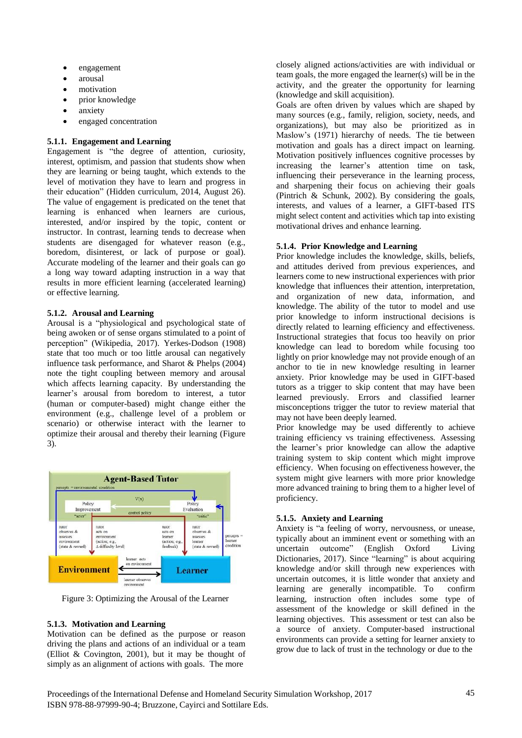- engagement
- arousal
- motivation
- prior knowledge
- anxiety
- engaged concentration

#### **5.1.1. Engagement and Learning**

Engagement is "the degree of attention, curiosity, interest, optimism, and passion that students show when they are learning or being taught, which extends to the level of motivation they have to learn and progress in their education" (Hidden curriculum, 2014, August 26). The value of engagement is predicated on the tenet that learning is enhanced when learners are curious, interested, and/or inspired by the topic, content or instructor. In contrast, learning tends to decrease when students are disengaged for whatever reason (e.g., boredom, disinterest, or lack of purpose or goal). Accurate modeling of the learner and their goals can go a long way toward adapting instruction in a way that results in more efficient learning (accelerated learning) or effective learning.

## **5.1.2. Arousal and Learning**

Arousal is a "physiological and psychological state of being awoken or of sense organs stimulated to a point of perception" (Wikipedia, 2017). Yerkes-Dodson (1908) state that too much or too little arousal can negatively influence task performance, and Sharot & Phelps (2004) note the tight coupling between memory and arousal which affects learning capacity. By understanding the learner's arousal from boredom to interest, a tutor (human or computer-based) might change either the environment (e.g., challenge level of a problem or scenario) or otherwise interact with the learner to optimize their arousal and thereby their learning (Figure 3).



Figure 3: Optimizing the Arousal of the Learner

## **5.1.3. Motivation and Learning**

Motivation can be defined as the purpose or reason driving the plans and actions of an individual or a team (Elliot & Covington, 2001), but it may be thought of simply as an alignment of actions with goals. The more

closely aligned actions/activities are with individual or team goals, the more engaged the learner(s) will be in the activity, and the greater the opportunity for learning (knowledge and skill acquisition).

Goals are often driven by values which are shaped by many sources (e.g., family, religion, society, needs, and organizations), but may also be prioritized as in Maslow's (1971) hierarchy of needs. The tie between motivation and goals has a direct impact on learning. Motivation positively influences cognitive processes by increasing the learner's attention time on task, influencing their perseverance in the learning process, and sharpening their focus on achieving their goals (Pintrich & Schunk, 2002). By considering the goals, interests, and values of a learner, a GIFT-based ITS might select content and activities which tap into existing motivational drives and enhance learning.

#### **5.1.4. Prior Knowledge and Learning**

Prior knowledge includes the knowledge, skills, beliefs, and attitudes derived from previous experiences, and learners come to new instructional experiences with prior knowledge that influences their attention, interpretation, and organization of new data, information, and knowledge. The ability of the tutor to model and use prior knowledge to inform instructional decisions is directly related to learning efficiency and effectiveness. Instructional strategies that focus too heavily on prior knowledge can lead to boredom while focusing too lightly on prior knowledge may not provide enough of an anchor to tie in new knowledge resulting in learner anxiety. Prior knowledge may be used in GIFT-based tutors as a trigger to skip content that may have been learned previously. Errors and classified learner misconceptions trigger the tutor to review material that may not have been deeply learned.

Prior knowledge may be used differently to achieve training efficiency vs training effectiveness. Assessing the learner's prior knowledge can allow the adaptive training system to skip content which might improve efficiency. When focusing on effectiveness however, the system might give learners with more prior knowledge more advanced training to bring them to a higher level of proficiency.

## **5.1.5. Anxiety and Learning**

Anxiety is "a feeling of worry, nervousness, or unease, typically about an imminent event or something with an uncertain outcome" (English Oxford Living Dictionaries, 2017). Since "learning" is about acquiring knowledge and/or skill through new experiences with uncertain outcomes, it is little wonder that anxiety and learning are generally incompatible. To confirm learning are generally incompatible. To learning, instruction often includes some type of assessment of the knowledge or skill defined in the learning objectives. This assessment or test can also be a source of anxiety. Computer-based instructional environments can provide a setting for learner anxiety to grow due to lack of trust in the technology or due to the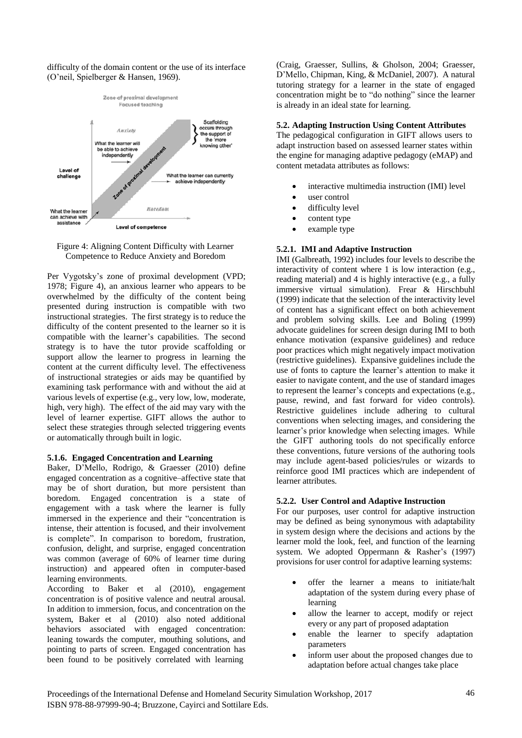difficulty of the domain content or the use of its interface (O'neil, Spielberger & Hansen, 1969).



Figure 4: Aligning Content Difficulty with Learner Competence to Reduce Anxiety and Boredom

Per Vygotsky's zone of proximal development (VPD; 1978; Figure 4), an anxious learner who appears to be overwhelmed by the difficulty of the content being presented during instruction is compatible with two instructional strategies. The first strategy is to reduce the difficulty of the content presented to the learner so it is compatible with the learner's capabilities. The second strategy is to have the tutor provide scaffolding or support allow the learner to progress in learning the content at the current difficulty level. The effectiveness of instructional strategies or aids may be quantified by examining task performance with and without the aid at various levels of expertise (e.g., very low, low, moderate, high, very high). The effect of the aid may vary with the level of learner expertise. GIFT allows the author to select these strategies through selected triggering events or automatically through built in logic.

## **5.1.6. Engaged Concentration and Learning**

Baker, D'Mello, Rodrigo, & Graesser (2010) define engaged concentration as a cognitive–affective state that may be of short duration, but more persistent than boredom. Engaged concentration is a state of engagement with a task where the learner is fully immersed in the experience and their "concentration is intense, their attention is focused, and their involvement is complete". In comparison to boredom, frustration, confusion, delight, and surprise, engaged concentration was common (average of 60% of learner time during instruction) and appeared often in computer-based learning environments.

According to Baker et al (2010), engagement concentration is of positive valence and neutral arousal. In addition to immersion, focus, and concentration on the system, Baker et al (2010) also noted additional behaviors associated with engaged concentration: leaning towards the computer, mouthing solutions, and pointing to parts of screen. Engaged concentration has been found to be positively correlated with learning

(Craig, Graesser, Sullins, & Gholson, 2004; Graesser, D'Mello, Chipman, King, & McDaniel, 2007). A natural tutoring strategy for a learner in the state of engaged concentration might be to "do nothing" since the learner is already in an ideal state for learning.

#### **5.2. Adapting Instruction Using Content Attributes**

The pedagogical configuration in GIFT allows users to adapt instruction based on assessed learner states within the engine for managing adaptive pedagogy (eMAP) and content metadata attributes as follows:

- interactive multimedia instruction (IMI) level
- user control
- $\bullet$  difficulty level
- content type
- example type

## **5.2.1. IMI and Adaptive Instruction**

IMI (Galbreath, 1992) includes four levels to describe the interactivity of content where 1 is low interaction (e.g., reading material) and 4 is highly interactive (e.g., a fully immersive virtual simulation). Frear & Hirschbuhl (1999) indicate that the selection of the interactivity level of content has a significant effect on both achievement and problem solving skills. Lee and Boling (1999) advocate guidelines for screen design during IMI to both enhance motivation (expansive guidelines) and reduce poor practices which might negatively impact motivation (restrictive guidelines). Expansive guidelines include the use of fonts to capture the learner's attention to make it easier to navigate content, and the use of standard images to represent the learner's concepts and expectations (e.g., pause, rewind, and fast forward for video controls). Restrictive guidelines include adhering to cultural conventions when selecting images, and considering the learner's prior knowledge when selecting images. While the GIFT authoring tools do not specifically enforce these conventions, future versions of the authoring tools may include agent-based policies/rules or wizards to reinforce good IMI practices which are independent of learner attributes.

#### **5.2.2. User Control and Adaptive Instruction**

For our purposes, user control for adaptive instruction may be defined as being synonymous with adaptability in system design where the decisions and actions by the learner mold the look, feel, and function of the learning system. We adopted Oppermann & Rasher's (1997) provisions for user control for adaptive learning systems:

- offer the learner a means to initiate/halt adaptation of the system during every phase of learning
- allow the learner to accept, modify or reject every or any part of proposed adaptation
- enable the learner to specify adaptation parameters
- inform user about the proposed changes due to adaptation before actual changes take place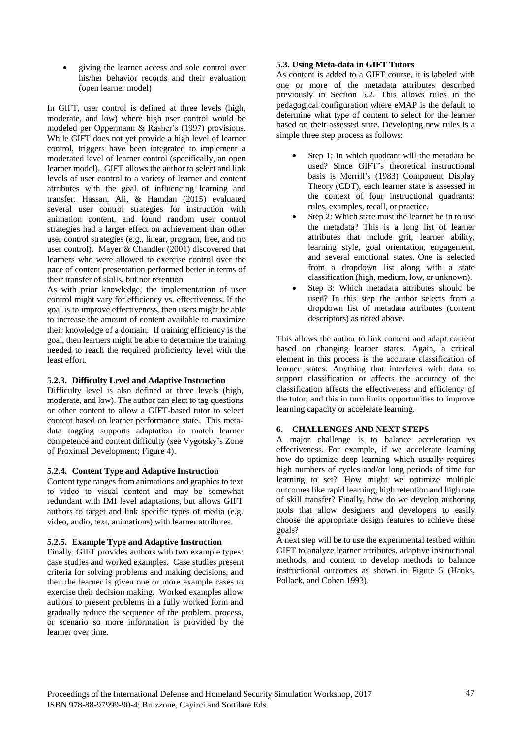giving the learner access and sole control over his/her behavior records and their evaluation (open learner model)

In GIFT, user control is defined at three levels (high, moderate, and low) where high user control would be modeled per Oppermann & Rasher's (1997) provisions. While GIFT does not yet provide a high level of learner control, triggers have been integrated to implement a moderated level of learner control (specifically, an open learner model). GIFT allows the author to select and link levels of user control to a variety of learner and content attributes with the goal of influencing learning and transfer. Hassan, Ali, & Hamdan (2015) evaluated several user control strategies for instruction with animation content, and found random user control strategies had a larger effect on achievement than other user control strategies (e.g., linear, program, free, and no user control). Mayer & Chandler (2001) discovered that learners who were allowed to exercise control over the pace of content presentation performed better in terms of their transfer of skills, but not retention.

As with prior knowledge, the implementation of user control might vary for efficiency vs. effectiveness. If the goal is to improve effectiveness, then users might be able to increase the amount of content available to maximize their knowledge of a domain. If training efficiency is the goal, then learners might be able to determine the training needed to reach the required proficiency level with the least effort.

# **5.2.3. Difficulty Level and Adaptive Instruction**

Difficulty level is also defined at three levels (high, moderate, and low). The author can elect to tag questions or other content to allow a GIFT-based tutor to select content based on learner performance state. This metadata tagging supports adaptation to match learner competence and content difficulty (see Vygotsky's Zone of Proximal Development; Figure 4).

## **5.2.4. Content Type and Adaptive Instruction**

Content type ranges from animations and graphics to text to video to visual content and may be somewhat redundant with IMI level adaptations, but allows GIFT authors to target and link specific types of media (e.g. video, audio, text, animations) with learner attributes.

## **5.2.5. Example Type and Adaptive Instruction**

Finally, GIFT provides authors with two example types: case studies and worked examples. Case studies present criteria for solving problems and making decisions, and then the learner is given one or more example cases to exercise their decision making. Worked examples allow authors to present problems in a fully worked form and gradually reduce the sequence of the problem, process, or scenario so more information is provided by the learner over time.

# **5.3. Using Meta-data in GIFT Tutors**

As content is added to a GIFT course, it is labeled with one or more of the metadata attributes described previously in Section 5.2. This allows rules in the pedagogical configuration where eMAP is the default to determine what type of content to select for the learner based on their assessed state. Developing new rules is a simple three step process as follows:

- Step 1: In which quadrant will the metadata be used? Since GIFT's theoretical instructional basis is Merrill's (1983) Component Display Theory (CDT), each learner state is assessed in the context of four instructional quadrants: rules, examples, recall, or practice.
- Step 2: Which state must the learner be in to use the metadata? This is a long list of learner attributes that include grit, learner ability, learning style, goal orientation, engagement, and several emotional states. One is selected from a dropdown list along with a state classification (high, medium, low, or unknown).
- Step 3: Which metadata attributes should be used? In this step the author selects from a dropdown list of metadata attributes (content descriptors) as noted above.

This allows the author to link content and adapt content based on changing learner states. Again, a critical element in this process is the accurate classification of learner states. Anything that interferes with data to support classification or affects the accuracy of the classification affects the effectiveness and efficiency of the tutor, and this in turn limits opportunities to improve learning capacity or accelerate learning.

## **6. CHALLENGES AND NEXT STEPS**

A major challenge is to balance acceleration vs effectiveness. For example, if we accelerate learning how do optimize deep learning which usually requires high numbers of cycles and/or long periods of time for learning to set? How might we optimize multiple outcomes like rapid learning, high retention and high rate of skill transfer? Finally, how do we develop authoring tools that allow designers and developers to easily choose the appropriate design features to achieve these goals?

A next step will be to use the experimental testbed within GIFT to analyze learner attributes, adaptive instructional methods, and content to develop methods to balance instructional outcomes as shown in Figure 5 (Hanks, Pollack, and Cohen 1993).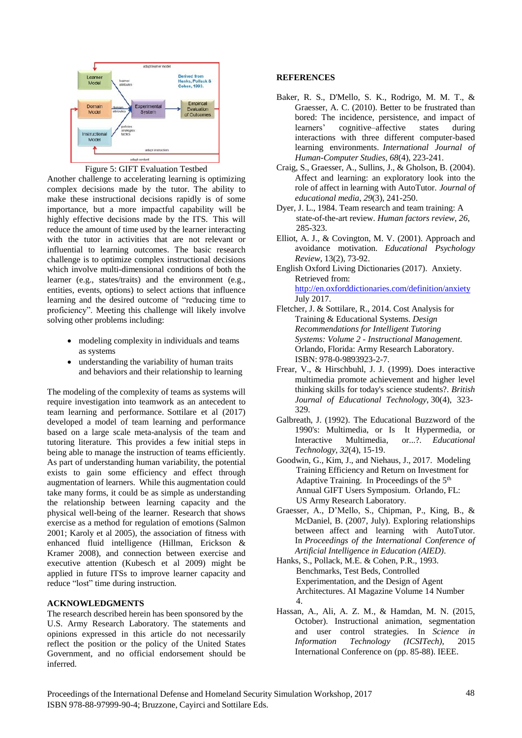

Figure 5: GIFT Evaluation Testbed

Another challenge to accelerating learning is optimizing complex decisions made by the tutor. The ability to make these instructional decisions rapidly is of some importance, but a more impactful capability will be highly effective decisions made by the ITS. This will reduce the amount of time used by the learner interacting with the tutor in activities that are not relevant or influential to learning outcomes. The basic research challenge is to optimize complex instructional decisions which involve multi-dimensional conditions of both the learner (e.g., states/traits) and the environment (e.g., entities, events, options) to select actions that influence learning and the desired outcome of "reducing time to proficiency". Meeting this challenge will likely involve solving other problems including:

- modeling complexity in individuals and teams as systems
- understanding the variability of human traits and behaviors and their relationship to learning

The modeling of the complexity of teams as systems will require investigation into teamwork as an antecedent to team learning and performance. Sottilare et al (2017) developed a model of team learning and performance based on a large scale meta-analysis of the team and tutoring literature. This provides a few initial steps in being able to manage the instruction of teams efficiently. As part of understanding human variability, the potential exists to gain some efficiency and effect through augmentation of learners. While this augmentation could take many forms, it could be as simple as understanding the relationship between learning capacity and the physical well-being of the learner. Research that shows exercise as a method for regulation of emotions (Salmon 2001; Karoly et al 2005), the association of fitness with enhanced fluid intelligence (Hillman, Erickson & Kramer 2008), and connection between exercise and executive attention (Kubesch et al 2009) might be applied in future ITSs to improve learner capacity and reduce "lost" time during instruction.

## **ACKNOWLEDGMENTS**

The research described herein has been sponsored by the U.S. Army Research Laboratory. The statements and opinions expressed in this article do not necessarily reflect the position or the policy of the United States Government, and no official endorsement should be inferred.

#### **REFERENCES**

- Baker, R. S., D'Mello, S. K., Rodrigo, M. M. T., & Graesser, A. C. (2010). Better to be frustrated than bored: The incidence, persistence, and impact of learners' cognitive–affective states during interactions with three different computer-based learning environments. *International Journal of Human-Computer Studies*, *68*(4), 223-241.
- Craig, S., Graesser, A., Sullins, J., & Gholson, B. (2004). Affect and learning: an exploratory look into the role of affect in learning with AutoTutor. *Journal of educational media*, *29*(3), 241-250.
- Dyer, J. L., 1984. Team research and team training: A state-of-the-art review. *Human factors review*, *26*, 285-323.
- Elliot, A. J., & Covington, M. V. (2001). Approach and avoidance motivation. *Educational Psychology Review*, 13(2), 73-92.
- English Oxford Living Dictionaries (2017). Anxiety. Retrieved from: <http://en.oxforddictionaries.com/definition/anxiety> July 2017.
- Fletcher, J. & Sottilare, R., 2014. Cost Analysis for Training & Educational Systems. *Design Recommendations for Intelligent Tutoring Systems: Volume 2 - Instructional Management*. Orlando, Florida: Army Research Laboratory. ISBN: 978-0-9893923-2-7.
- Frear, V., & Hirschbuhl, J. J. (1999). Does interactive multimedia promote achievement and higher level thinking skills for today's science students?. *British Journal of Educational Technology*, 30(4), 323- 329.
- Galbreath, J. (1992). The Educational Buzzword of the 1990's: Multimedia, or Is It Hypermedia, or Interactive Multimedia, or...?. *Educational Technology*, *32*(4), 15-19.
- Goodwin, G., Kim, J., and Niehaus, J., 2017. Modeling Training Efficiency and Return on Investment for Adaptive Training. In Proceedings of the 5<sup>th</sup> Annual GIFT Users Symposium. Orlando, FL: US Army Research Laboratory.
- Graesser, A., D'Mello, S., Chipman, P., King, B., & McDaniel, B. (2007, July). Exploring relationships between affect and learning with AutoTutor. In *Proceedings of the International Conference of Artificial Intelligence in Education (AIED)*.
- Hanks, S., Pollack, M.E. & Cohen, P.R., 1993. Benchmarks, Test Beds, Controlled Experimentation, and the Design of Agent Architectures. AI Magazine Volume 14 Number 4.
- Hassan, A., Ali, A. Z. M., & Hamdan, M. N. (2015, October). Instructional animation, segmentation and user control strategies. In *Science in Information Technology (ICSITech)*, 2015 International Conference on (pp. 85-88). IEEE.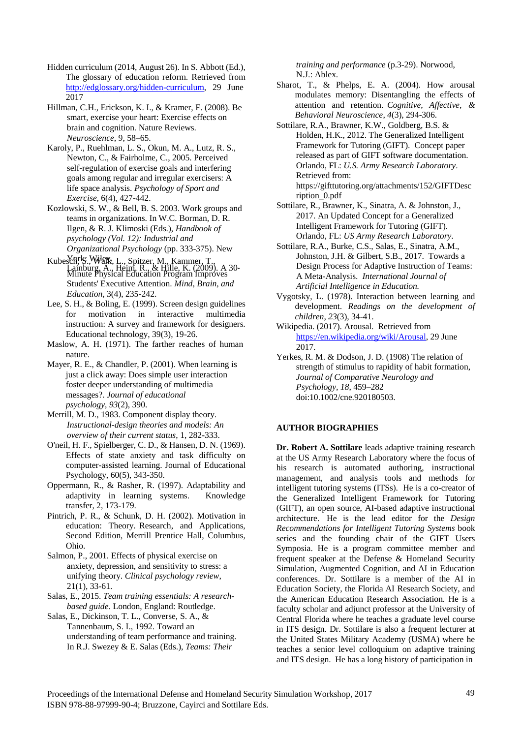Hidden curriculum (2014, August 26). In S. Abbott (Ed.), The glossary of education reform. Retrieved from [http://edglossary.org/hidden-curriculum,](http://edglossary.org/hidden-curriculum) 29 June 2017

Hillman, C.H., Erickson, K. I., & Kramer, F. (2008). Be smart, exercise your heart: Exercise effects on brain and cognition. Nature Reviews. *Neuroscience*, 9, 58–65.

Karoly, P., Ruehlman, L. S., Okun, M. A., Lutz, R. S., Newton, C., & Fairholme, C., 2005. Perceived self-regulation of exercise goals and interfering goals among regular and irregular exercisers: A life space analysis. *Psychology of Sport and Exercise*, 6(4), 427-442.

Kozlowski, S. W., & Bell, B. S. 2003. Work groups and teams in organizations. In W.C. Borman, D. R. Ilgen, & R. J. Klimoski (Eds.), *Handbook of psychology (Vol. 12): Industrial and Organizational Psychology* (pp. 333-375). New

- Kubesch, S., Wilgh, L., Spitzer, M., Kammer, T., Lainburg, A., Heim, R., & Hille, K. (2009). A 30-<br>Minute Physical Education Program Improves Students' Executive Attention. *Mind, Brain, and Education*, 3(4), 235-242.
- Lee, S. H., & Boling, E. (1999). Screen design guidelines for motivation in interactive multimedia instruction: A survey and framework for designers. Educational technology, 39(3), 19-26.

Maslow, A. H. (1971). The farther reaches of human nature.

Mayer, R. E., & Chandler, P. (2001). When learning is just a click away: Does simple user interaction foster deeper understanding of multimedia messages?. *Journal of educational psychology*, *93*(2), 390.

Merrill, M. D., 1983. Component display theory. *Instructional-design theories and models: An overview of their current status*, 1, 282-333.

O'neil, H. F., Spielberger, C. D., & Hansen, D. N. (1969). Effects of state anxiety and task difficulty on computer-assisted learning. Journal of Educational Psychology, 60(5), 343-350.

Oppermann, R., & Rasher, R. (1997). Adaptability and adaptivity in learning systems. Knowledge transfer, 2, 173-179.

Pintrich, P. R., & Schunk, D. H. (2002). Motivation in education: Theory. Research, and Applications, Second Edition, Merrill Prentice Hall, Columbus, Ohio.

Salmon, P., 2001. Effects of physical exercise on anxiety, depression, and sensitivity to stress: a unifying theory. *Clinical psychology review*, 21(1), 33-61.

Salas, E., 2015. *Team training essentials: A researchbased guide*. London, England: Routledge.

Salas, E., Dickinson, T. L., Converse, S. A., & Tannenbaum, S. I., 1992. Toward an understanding of team performance and training. In R.J. Swezey & E. Salas (Eds.), *Teams: Their*

*training and performance* (p.3-29). Norwood, N.J.: Ablex.

- Sharot, T., & Phelps, E. A. (2004). How arousal modulates memory: Disentangling the effects of attention and retention. *Cognitive, Affective, & Behavioral Neuroscience*, *4*(3), 294-306.
- Sottilare, R.A., Brawner, K.W., Goldberg, B.S. & Holden, H.K., 2012. The Generalized Intelligent Framework for Tutoring (GIFT). Concept paper released as part of GIFT software documentation. Orlando, FL: *U.S. Army Research Laboratory*. Retrieved from: https://gifttutoring.org/attachments/152/GIFTDesc ription\_0.pdf

Sottilare, R., Brawner, K., Sinatra, A. & Johnston, J., 2017. An Updated Concept for a Generalized Intelligent Framework for Tutoring (GIFT). Orlando, FL: *US Army Research Laboratory*.

Sottilare, R.A., Burke, C.S., Salas, E., Sinatra, A.M., Johnston, J.H. & Gilbert, S.B., 2017. Towards a Design Process for Adaptive Instruction of Teams: A Meta-Analysis. *International Journal of Artificial Intelligence in Education.*

Vygotsky, L. (1978). Interaction between learning and development. *Readings on the development of children*, *23*(3), 34-41.

Wikipedia. (2017). Arousal. Retrieved from [https://en.wikipedia.org/wiki/Arousal,](https://en.wikipedia.org/wiki/Arousal) 29 June 2017.

Yerkes, R. M. & Dodson, J. D. (1908) The relation of strength of stimulus to rapidity of habit formation, *Journal of Comparative Neurology and Psychology, 18*, 459–282 doi:10.1002/cne.920180503.

## **AUTHOR BIOGRAPHIES**

**Dr. Robert A. Sottilare** leads adaptive training research at the US Army Research Laboratory where the focus of his research is automated authoring, instructional management, and analysis tools and methods for intelligent tutoring systems (ITSs). He is a co-creator of the Generalized Intelligent Framework for Tutoring (GIFT), an open source, AI-based adaptive instructional architecture. He is the lead editor for the *Design Recommendations for Intelligent Tutoring Systems* book series and the founding chair of the GIFT Users Symposia. He is a program committee member and frequent speaker at the Defense & Homeland Security Simulation, Augmented Cognition, and AI in Education conferences. Dr. Sottilare is a member of the AI in Education Society, the Florida AI Research Society, and the American Education Research Association. He is a faculty scholar and adjunct professor at the University of Central Florida where he teaches a graduate level course in ITS design. Dr. Sottilare is also a frequent lecturer at the United States Military Academy (USMA) where he teaches a senior level colloquium on adaptive training and ITS design. He has a long history of participation in